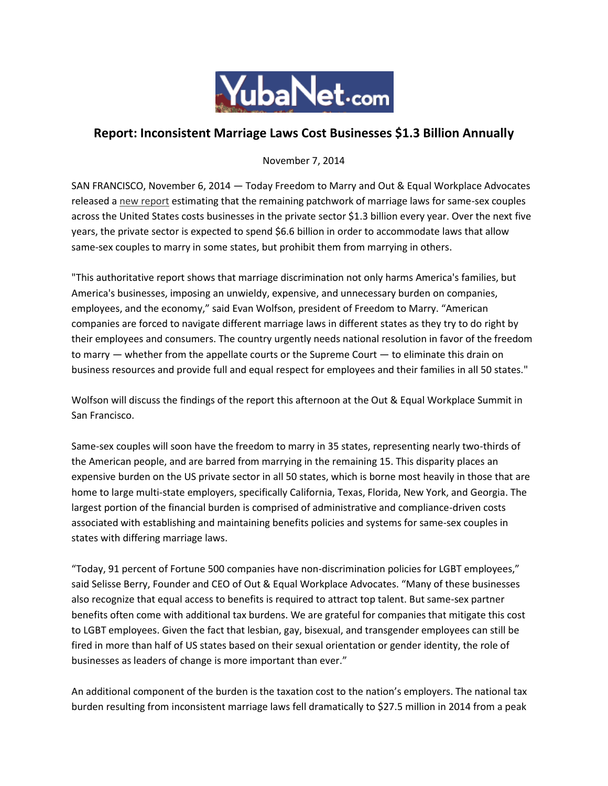

## **Report: Inconsistent Marriage Laws Cost Businesses \$1.3 Billion Annually**

November 7, 2014

SAN FRANCISCO, November 6, 2014 — Today Freedom to Marry and Out & Equal Workplace Advocates released a [new report](http://freedomtomarry.org/page/m/4d8934c4/271015bf/4bb2df6f/2e0da579/478022412/VEsH/) estimating that the remaining patchwork of marriage laws for same-sex couples across the United States costs businesses in the private sector \$1.3 billion every year. Over the next five years, the private sector is expected to spend \$6.6 billion in order to accommodate laws that allow same-sex couples to marry in some states, but prohibit them from marrying in others.

"This authoritative report shows that marriage discrimination not only harms America's families, but America's businesses, imposing an unwieldy, expensive, and unnecessary burden on companies, employees, and the economy," said Evan Wolfson, president of Freedom to Marry. "American companies are forced to navigate different marriage laws in different states as they try to do right by their employees and consumers. The country urgently needs national resolution in favor of the freedom to marry — whether from the appellate courts or the Supreme Court — to eliminate this drain on business resources and provide full and equal respect for employees and their families in all 50 states."

Wolfson will discuss the findings of the report this afternoon at the Out & Equal Workplace Summit in San Francisco.

Same-sex couples will soon have the freedom to marry in 35 states, representing nearly two-thirds of the American people, and are barred from marrying in the remaining 15. This disparity places an expensive burden on the US private sector in all 50 states, which is borne most heavily in those that are home to large multi-state employers, specifically California, Texas, Florida, New York, and Georgia. The largest portion of the financial burden is comprised of administrative and compliance-driven costs associated with establishing and maintaining benefits policies and systems for same-sex couples in states with differing marriage laws.

"Today, 91 percent of Fortune 500 companies have non-discrimination policies for LGBT employees," said Selisse Berry, Founder and CEO of Out & Equal Workplace Advocates. "Many of these businesses also recognize that equal access to benefits is required to attract top talent. But same-sex partner benefits often come with additional tax burdens. We are grateful for companies that mitigate this cost to LGBT employees. Given the fact that lesbian, gay, bisexual, and transgender employees can still be fired in more than half of US states based on their sexual orientation or gender identity, the role of businesses as leaders of change is more important than ever."

An additional component of the burden is the taxation cost to the nation's employers. The national tax burden resulting from inconsistent marriage laws fell dramatically to \$27.5 million in 2014 from a peak